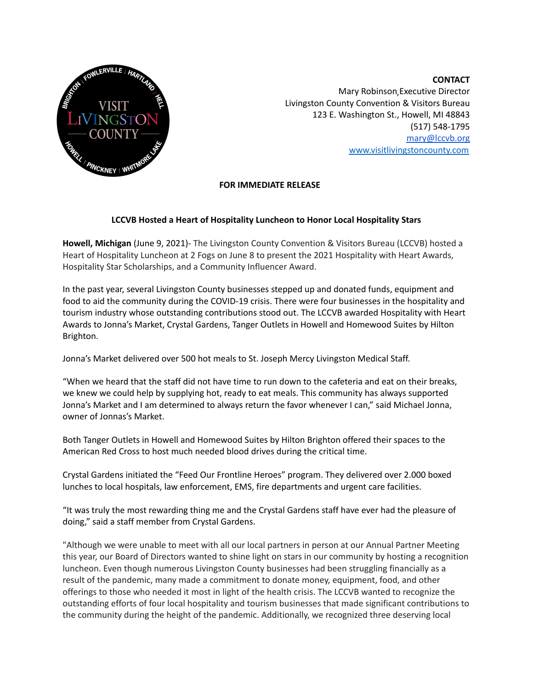

**CONTACT** Mary Robinson Executive Director **,**Livingston County Convention & Visitors Bureau 123 E. Washington St., Howell, MI 48843 (517) 548-1795 [mary@lccvb.org](mailto:mary@lccvb.org) [www.visitlivingstoncounty.com](http://www.visitlivingstoncounty.com)

## **FOR IMMEDIATE RELEASE**

## **LCCVB Hosted a Heart of Hospitality Luncheon to Honor Local Hospitality Stars**

**Howell, Michigan** (June 9, 2021)- The Livingston County Convention & Visitors Bureau (LCCVB) hosted a Heart of Hospitality Luncheon at 2 Fogs on June 8 to present the 2021 Hospitality with Heart Awards, Hospitality Star Scholarships, and a Community Influencer Award.

In the past year, several Livingston County businesses stepped up and donated funds, equipment and food to aid the community during the COVID-19 crisis. There were four businesses in the hospitality and tourism industry whose outstanding contributions stood out. The LCCVB awarded Hospitality with Heart Awards to Jonna's Market, Crystal Gardens, Tanger Outlets in Howell and Homewood Suites by Hilton Brighton.

Jonna's Market delivered over 500 hot meals to St. Joseph Mercy Livingston Medical Staff.

"When we heard that the staff did not have time to run down to the cafeteria and eat on their breaks, we knew we could help by supplying hot, ready to eat meals. This community has always supported Jonna's Market and I am determined to always return the favor whenever I can," said Michael Jonna, owner of Jonnas's Market.

Both Tanger Outlets in Howell and Homewood Suites by Hilton Brighton offered their spaces to the American Red Cross to host much needed blood drives during the critical time.

Crystal Gardens initiated the "Feed Our Frontline Heroes" program. They delivered over 2.000 boxed lunches to local hospitals, law enforcement, EMS, fire departments and urgent care facilities.

"It was truly the most rewarding thing me and the Crystal Gardens staff have ever had the pleasure of doing," said a staff member from Crystal Gardens.

"Although we were unable to meet with all our local partners in person at our Annual Partner Meeting this year, our Board of Directors wanted to shine light on stars in our community by hosting a recognition luncheon. Even though numerous Livingston County businesses had been struggling financially as a result of the pandemic, many made a commitment to donate money, equipment, food, and other offerings to those who needed it most in light of the health crisis. The LCCVB wanted to recognize the outstanding efforts of four local hospitality and tourism businesses that made significant contributions to the community during the height of the pandemic. Additionally, we recognized three deserving local